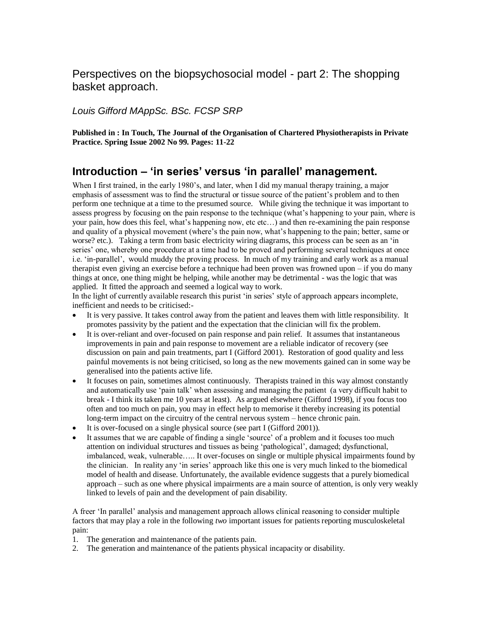### Perspectives on the biopsychosocial model - part 2: The shopping basket approach.

*Louis Gifford MAppSc. BSc. FCSP SRP*

**Published in : In Touch, The Journal of the Organisation of Chartered Physiotherapists in Private Practice. Spring Issue 2002 No 99. Pages: 11-22**

### **Introduction – 'in series' versus 'in parallel' management.**

When I first trained, in the early 1980's, and later, when I did my manual therapy training, a major emphasis of assessment was to find the structural or tissue source of the patient's problem and to then perform one technique at a time to the presumed source. While giving the technique it was important to assess progress by focusing on the pain response to the technique (what's happening to your pain, where is your pain, how does this feel, what's happening now, etc etc…) and then re-examining the pain response and quality of a physical movement (where's the pain now, what's happening to the pain; better, same or worse? etc.). Taking a term from basic electricity wiring diagrams, this process can be seen as an 'in series' one, whereby one procedure at a time had to be proved and performing several techniques at once i.e. 'in-parallel', would muddy the proving process. In much of my training and early work as a manual therapist even giving an exercise before a technique had been proven was frowned upon – if you do many things at once, one thing might be helping, while another may be detrimental - was the logic that was applied. It fitted the approach and seemed a logical way to work.

In the light of currently available research this purist 'in series' style of approach appears incomplete, inefficient and needs to be criticised:-

- It is very passive. It takes control away from the patient and leaves them with little responsibility. It promotes passivity by the patient and the expectation that the clinician will fix the problem.
- It is over-reliant and over-focused on pain response and pain relief. It assumes that instantaneous improvements in pain and pain response to movement are a reliable indicator of recovery (see discussion on pain and pain treatments, part I (Gifford 2001). Restoration of good quality and less painful movements is not being criticised, so long as the new movements gained can in some way be generalised into the patients active life.
- It focuses on pain, sometimes almost continuously. Therapists trained in this way almost constantly and automatically use 'pain talk' when assessing and managing the patient (a very difficult habit to break - I think its taken me 10 years at least). As argued elsewhere (Gifford 1998), if you focus too often and too much on pain, you may in effect help to memorise it thereby increasing its potential long-term impact on the circuitry of the central nervous system – hence chronic pain.
- It is over-focused on a single physical source (see part I (Gifford 2001)).
- It assumes that we are capable of finding a single 'source' of a problem and it focuses too much attention on individual structures and tissues as being 'pathological', damaged; dysfunctional, imbalanced, weak, vulnerable….. It over-focuses on single or multiple physical impairments found by the clinician. In reality any 'in series' approach like this one is very much linked to the biomedical model of health and disease. Unfortunately, the available evidence suggests that a purely biomedical approach – such as one where physical impairments are a main source of attention, is only very weakly linked to levels of pain and the development of pain disability.

A freer 'In parallel' analysis and management approach allows clinical reasoning to consider multiple factors that may play a role in the following *two* important issues for patients reporting musculoskeletal pain:

- 1. The generation and maintenance of the patients pain.
- 2. The generation and maintenance of the patients physical incapacity or disability.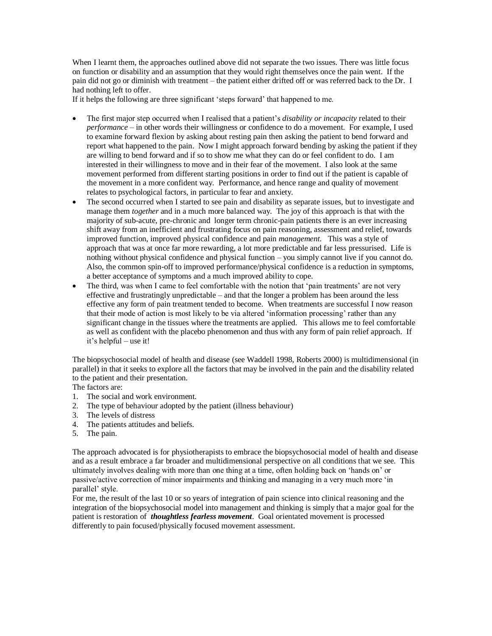When I learnt them, the approaches outlined above did not separate the two issues. There was little focus on function or disability and an assumption that they would right themselves once the pain went. If the pain did not go or diminish with treatment – the patient either drifted off or was referred back to the Dr. I had nothing left to offer.

If it helps the following are three significant 'steps forward' that happened to me.

- The first major step occurred when I realised that a patient's *disability or incapacity* related to their *performance* – in other words their willingness or confidence to do a movement. For example, I used to examine forward flexion by asking about resting pain then asking the patient to bend forward and report what happened to the pain. Now I might approach forward bending by asking the patient if they are willing to bend forward and if so to show me what they can do or feel confident to do. I am interested in their willingness to move and in their fear of the movement. I also look at the same movement performed from different starting positions in order to find out if the patient is capable of the movement in a more confident way. Performance, and hence range and quality of movement relates to psychological factors, in particular to fear and anxiety.
- The second occurred when I started to see pain and disability as separate issues, but to investigate and manage them *together* and in a much more balanced way. The joy of this approach is that with the majority of sub-acute, pre-chronic and longer term chronic-pain patients there is an ever increasing shift away from an inefficient and frustrating focus on pain reasoning, assessment and relief, towards improved function, improved physical confidence and pain *management*. This was a style of approach that was at once far more rewarding, a lot more predictable and far less pressurised. Life is nothing without physical confidence and physical function – you simply cannot live if you cannot do. Also, the common spin-off to improved performance/physical confidence is a reduction in symptoms, a better acceptance of symptoms and a much improved ability to cope.
- The third, was when I came to feel comfortable with the notion that 'pain treatments' are not very effective and frustratingly unpredictable – and that the longer a problem has been around the less effective any form of pain treatment tended to become. When treatments are successful I now reason that their mode of action is most likely to be via altered 'information processing' rather than any significant change in the tissues where the treatments are applied. This allows me to feel comfortable as well as confident with the placebo phenomenon and thus with any form of pain relief approach. If it's helpful – use it!

The biopsychosocial model of health and disease (see Waddell 1998, Roberts 2000) is multidimensional (in parallel) in that it seeks to explore all the factors that may be involved in the pain and the disability related to the patient and their presentation.

The factors are:

- 1. The social and work environment.
- 2. The type of behaviour adopted by the patient (illness behaviour)
- 3. The levels of distress
- 4. The patients attitudes and beliefs.
- 5. The pain.

The approach advocated is for physiotherapists to embrace the biopsychosocial model of health and disease and as a result embrace a far broader and multidimensional perspective on all conditions that we see. This ultimately involves dealing with more than one thing at a time, often holding back on 'hands on' or passive/active correction of minor impairments and thinking and managing in a very much more 'in parallel' style.

For me, the result of the last 10 or so years of integration of pain science into clinical reasoning and the integration of the biopsychosocial model into management and thinking is simply that a major goal for the patient is restoration of *thoughtless fearless movement*. Goal orientated movement is processed differently to pain focused/physically focused movement assessment.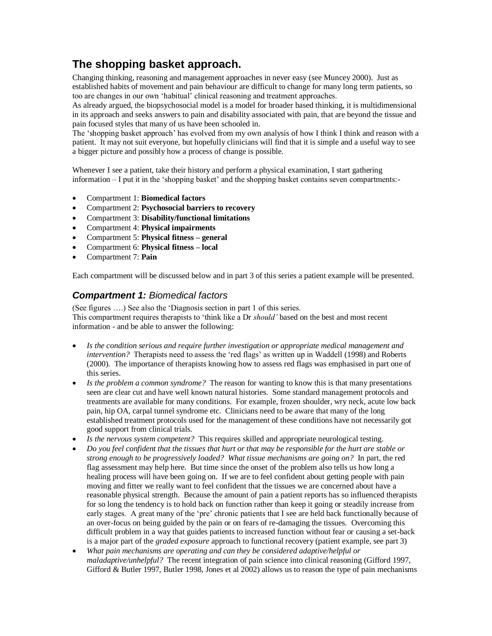### **The shopping basket approach.**

Changing thinking, reasoning and management approaches in never easy (see Muncey 2000). Just as established habits of movement and pain behaviour are difficult to change for many long term patients, so too are changes in our own 'habitual' clinical reasoning and treatment approaches.

As already argued, the biopsychosocial model is a model for broader based thinking, it is multidimensional in its approach and seeks answers to pain and disability associated with pain, that are beyond the tissue and pain focused styles that many of us have been schooled in.

The 'shopping basket approach' has evolved from my own analysis of how I think I think and reason with a patient. It may not suit everyone, but hopefully clinicians will find that it is simple and a useful way to see a bigger picture and possibly how a process of change is possible.

Whenever I see a patient, take their history and perform a physical examination, I start gathering information – I put it in the 'shopping basket' and the shopping basket contains seven compartments:-

- Compartment 1: **Biomedical factors**
- Compartment 2: **Psychosocial barriers to recovery**
- Compartment 3: **Disability/functional limitations**
- Compartment 4: **Physical impairments**
- Compartment 5: **Physical fitness – general**
- Compartment 6: **Physical fitness – local**
- Compartment 7: **Pain**

Each compartment will be discussed below and in part 3 of this series a patient example will be presented.

### *Compartment 1: Biomedical factors*

(See figures ….) See also the 'Diagnosis section in part 1 of this series. This compartment requires therapists to 'think like a Dr *should'* based on the best and most recent information - and be able to answer the following:

- *Is the condition serious and require further investigation or appropriate medical management and intervention?* Therapists need to assess the 'red flags' as written up in Waddell (1998) and Roberts (2000). The importance of therapists knowing how to assess red flags was emphasised in part one of this series.
- *Is the problem a common syndrome?* The reason for wanting to know this is that many presentations seen are clear cut and have well known natural histories. Some standard management protocols and treatments are available for many conditions. For example, frozen shoulder, wry neck, acute low back pain, hip OA, carpal tunnel syndrome etc. Clinicians need to be aware that many of the long established treatment protocols used for the management of these conditions have not necessarily got good support from clinical trials.
- *Is the nervous system competent?* This requires skilled and appropriate neurological testing.
- *Do you feel confident that the tissues that hurt or that may be responsible for the hurt are stable or strong enough to be progressively loaded? What tissue mechanisms are going on?* In part, the red flag assessment may help here. But time since the onset of the problem also tells us how long a healing process will have been going on. If we are to feel confident about getting people with pain moving and fitter we really want to feel confident that the tissues we are concerned about have a reasonable physical strength. Because the amount of pain a patient reports has so influenced therapists for so long the tendency is to hold back on function rather than keep it going or steadily increase from early stages. A great many of the 'pre' chronic patients that I see are held back functionally because of an over-focus on being guided by the pain or on fears of re-damaging the tissues. Overcoming this difficult problem in a way that guides patients to increased function without fear or causing a set-back is a major part of the *graded exposure* approach to functional recovery (patient example, see part 3)
- *What pain mechanisms are operating and can they be considered adaptive/helpful or maladaptive/unhelpful?* The recent integration of pain science into clinical reasoning (Gifford 1997, Gifford & Butler 1997, Butler 1998, Jones et al 2002) allows us to reason the type of pain mechanisms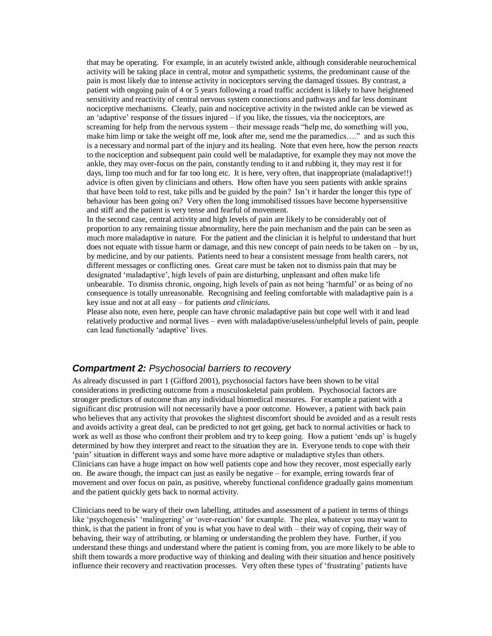that may be operating. For example, in an acutely twisted ankle, although considerable neurochemical activity will be taking place in central, motor and sympathetic systems, the predominant cause of the pain is most likely due to intense activity in nociceptors serving the damaged tissues. By contrast, a patient with ongoing pain of 4 or 5 years following a road traffic accident is likely to have heightened sensitivity and reactivity of central nervous system connections and pathways and far less dominant nociceptive mechanisms. Clearly, pain and nociceptive activity in the twisted ankle can be viewed as an 'adaptive' response of the tissues injured – if you like, the tissues, via the nociceptors, are screaming for help from the nervous system – their message reads "help me, do something will you, make him limp or take the weight off me, look after me, send me the paramedics…." and as such this is a necessary and normal part of the injury and its healing. Note that even here, how the person *reacts* to the nociception and subsequent pain could well be maladaptive, for example they may not move the ankle, they may over-focus on the pain, constantly tending to it and rubbing it, they may rest it for days, limp too much and for far too long etc. It is here, very often, that inappropriate (maladaptive!!) advice is often given by clinicians and others. How often have you seen patients with ankle sprains that have been told to rest, take pills and be guided by the pain? Isn't it harder the longer this type of behaviour has been going on? Very often the long immobilised tissues have become hypersensitive and stiff and the patient is very tense and fearful of movement.

In the second case, central activity and high levels of pain are likely to be considerably out of proportion to any remaining tissue abnormality, here the pain mechanism and the pain can be seen as much more maladaptive in nature. For the patient and the clinician it is helpful to understand that hurt does not equate with tissue harm or damage, and this new concept of pain needs to be taken on – by us, by medicine, and by our patients. Patients need to hear a consistent message from health carers, not different messages or conflicting ones. Great care must be taken not to dismiss pain that may be designated 'maladaptive', high levels of pain are disturbing, unpleasant and often make life unbearable. To dismiss chronic, ongoing, high levels of pain as not being 'harmful' or as being of no consequence is totally unreasonable. Recognising and feeling comfortable with maladaptive pain is a key issue and not at all easy – for patients *and clinicians.*

Please also note, even here, people can have chronic maladaptive pain but cope well with it and lead relatively productive and normal lives – even with maladaptive/useless/unhelpful levels of pain, people can lead functionally 'adaptive' lives.

#### *Compartment 2: Psychosocial barriers to recovery*

As already discussed in part 1 (Gifford 2001), psychosocial factors have been shown to be vital considerations in predicting outcome from a musculoskeletal pain problem. Psychosocial factors are stronger predictors of outcome than any individual biomedical measures. For example a patient with a significant disc protrusion will not necessarily have a poor outcome. However, a patient with back pain who believes that any activity that provokes the slightest discomfort should be avoided and as a result rests and avoids activity a great deal, can be predicted to not get going, get back to normal activities or back to work as well as those who confront their problem and try to keep going. How a patient 'ends up' is hugely determined by how they interpret and react to the situation they are in. Everyone tends to cope with their 'pain' situation in different ways and some have more adaptive or maladaptive styles than others. Clinicians can have a huge impact on how well patients cope and how they recover, most especially early on. Be aware though, the impact can just as easily be negative – for example, erring towards fear of movement and over focus on pain, as positive, whereby functional confidence gradually gains momentum and the patient quickly gets back to normal activity.

Clinicians need to be wary of their own labelling, attitudes and assessment of a patient in terms of things like 'psychogenesis' 'malingering' or 'over-reaction' for example. The plea, whatever you may want to think, is that the patient in front of you is what you have to deal with – their way of coping, their way of behaving, their way of attributing, or blaming or understanding the problem they have. Further, if you understand these things and understand where the patient is coming from, you are more likely to be able to shift them towards a more productive way of thinking and dealing with their situation and hence positively influence their recovery and reactivation processes. Very often these types of 'frustrating' patients have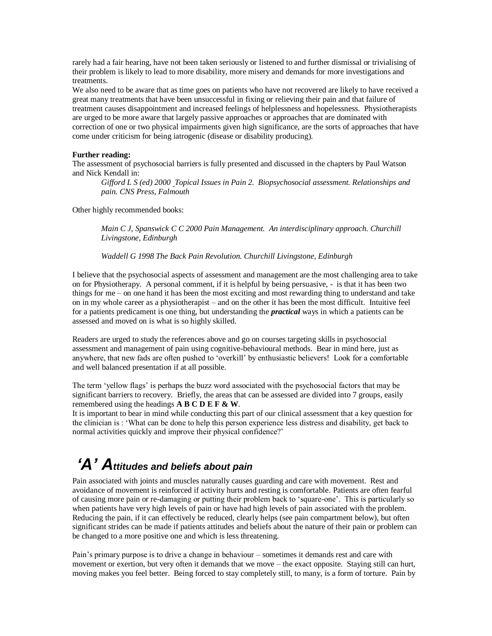rarely had a fair hearing, have not been taken seriously or listened to and further dismissal or trivialising of their problem is likely to lead to more disability, more misery and demands for more investigations and treatments.

We also need to be aware that as time goes on patients who have not recovered are likely to have received a great many treatments that have been unsuccessful in fixing or relieving their pain and that failure of treatment causes disappointment and increased feelings of helplessness and hopelessness. Physiotherapists are urged to be more aware that largely passive approaches or approaches that are dominated with correction of one or two physical impairments given high significance, are the sorts of approaches that have come under criticism for being iatrogenic (disease or disability producing).

#### **Further reading:**

The assessment of psychosocial barriers is fully presented and discussed in the chapters by Paul Watson and Nick Kendall in:

*Gifford L S (ed) 2000 Topical Issues in Pain 2. Biopsychosocial assessment. Relationships and pain. CNS Press, Falmouth*

Other highly recommended books:

*Main C J, Spanswick C C 2000 Pain Management. An interdisciplinary approach. Churchill Livingstone, Edinburgh*

*Waddell G 1998 The Back Pain Revolution. Churchill Livingstone, Edinburgh*

I believe that the psychosocial aspects of assessment and management are the most challenging area to take on for Physiotherapy. A personal comment, if it is helpful by being persuasive, - is that it has been two things for me – on one hand it has been the most exciting and most rewarding thing to understand and take on in my whole career as a physiotherapist – and on the other it has been the most difficult. Intuitive feel for a patients predicament is one thing, but understanding the *practical* ways in which a patients can be assessed and moved on is what is so highly skilled.

Readers are urged to study the references above and go on courses targeting skills in psychosocial assessment and management of pain using cognitive-behavioural methods. Bear in mind here, just as anywhere, that new fads are often pushed to 'overkill' by enthusiastic believers! Look for a comfortable and well balanced presentation if at all possible.

The term 'yellow flags' is perhaps the buzz word associated with the psychosocial factors that may be significant barriers to recovery. Briefly, the areas that can be assessed are divided into 7 groups, easily remembered using the headings **A B C D E F & W**.

It is important to bear in mind while conducting this part of our clinical assessment that a key question for the clinician is : 'What can be done to help this person experience less distress and disability, get back to normal activities quickly and improve their physical confidence?'

## *'A' Attitudes and beliefs about pain*

Pain associated with joints and muscles naturally causes guarding and care with movement. Rest and avoidance of movement is reinforced if activity hurts and resting is comfortable. Patients are often fearful of causing more pain or re-damaging or putting their problem back to 'square-one'. This is particularly so when patients have very high levels of pain or have had high levels of pain associated with the problem. Reducing the pain, if it can effectively be reduced, clearly helps (see pain compartment below), but often significant strides can be made if patients attitudes and beliefs about the nature of their pain or problem can be changed to a more positive one and which is less threatening.

Pain's primary purpose is to drive a change in behaviour – sometimes it demands rest and care with movement or exertion, but very often it demands that we move – the exact opposite. Staying still can hurt, moving makes you feel better. Being forced to stay completely still, to many, is a form of torture. Pain by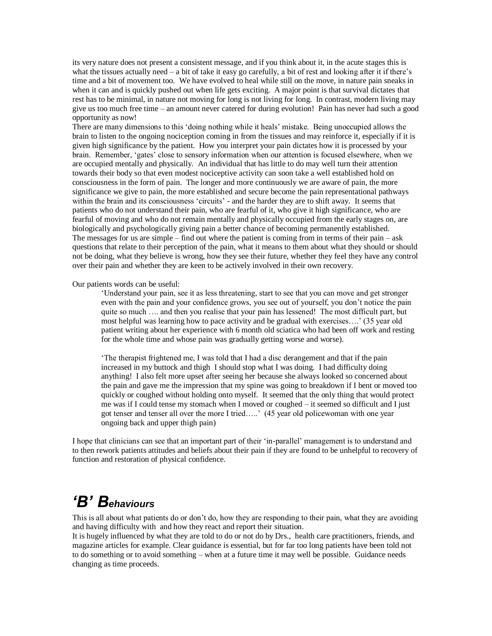its very nature does not present a consistent message, and if you think about it, in the acute stages this is what the tissues actually need – a bit of take it easy go carefully, a bit of rest and looking after it if there's time and a bit of movement too. We have evolved to heal while still on the move, in nature pain sneaks in when it can and is quickly pushed out when life gets exciting. A major point is that survival dictates that rest has to be minimal, in nature not moving for long is not living for long. In contrast, modern living may give us too much free time – an amount never catered for during evolution! Pain has never had such a good opportunity as now!

There are many dimensions to this 'doing nothing while it heals' mistake. Being unoccupied allows the brain to listen to the ongoing nociception coming in from the tissues and may reinforce it, especially if it is given high significance by the patient. How you interpret your pain dictates how it is processed by your brain. Remember, 'gates' close to sensory information when our attention is focused elsewhere, when we are occupied mentally and physically. An individual that has little to do may well turn their attention towards their body so that even modest nociceptive activity can soon take a well established hold on consciousness in the form of pain. The longer and more continuously we are aware of pain, the more significance we give to pain, the more established and secure become the pain representational pathways within the brain and its consciousness 'circuits' - and the harder they are to shift away. It seems that patients who do not understand their pain, who are fearful of it, who give it high significance, who are fearful of moving and who do not remain mentally and physically occupied from the early stages on, are biologically and psychologically giving pain a better chance of becoming permanently established. The messages for us are simple – find out where the patient is coming from in terms of their pain – ask questions that relate to their perception of the pain, what it means to them about what they should or should not be doing, what they believe is wrong, how they see their future, whether they feel they have any control over their pain and whether they are keen to be actively involved in their own recovery.

Our patients words can be useful:

'Understand your pain, see it as less threatening, start to see that you can move and get stronger even with the pain and your confidence grows, you see out of yourself, you don't notice the pain quite so much …. and then you realise that your pain has lessened! The most difficult part, but most helpful was learning how to pace activity and be gradual with exercises….' (35 year old patient writing about her experience with 6 month old sciatica who had been off work and resting for the whole time and whose pain was gradually getting worse and worse).

'The therapist frightened me, I was told that I had a disc derangement and that if the pain increased in my buttock and thigh I should stop what I was doing. I had difficulty doing anything! I also felt more upset after seeing her because she always looked so concerned about the pain and gave me the impression that my spine was going to breakdown if I bent or moved too quickly or coughed without holding onto myself. It seemed that the only thing that would protect me was if I could tense my stomach when I moved or coughed – it seemed so difficult and I just got tenser and tenser all over the more I tried…..' (45 year old policewoman with one year ongoing back and upper thigh pain)

I hope that clinicians can see that an important part of their 'in-parallel' management is to understand and to then rework patients attitudes and beliefs about their pain if they are found to be unhelpful to recovery of function and restoration of physical confidence.

## *'B' Behaviours*

This is all about what patients do or don't do, how they are responding to their pain, what they are avoiding and having difficulty with and how they react and report their situation.

It is hugely influenced by what they are told to do or not do by Drs., health care practitioners, friends, and magazine articles for example. Clear guidance is essential, but for far too long patients have been told not to do something or to avoid something – when at a future time it may well be possible. Guidance needs changing as time proceeds.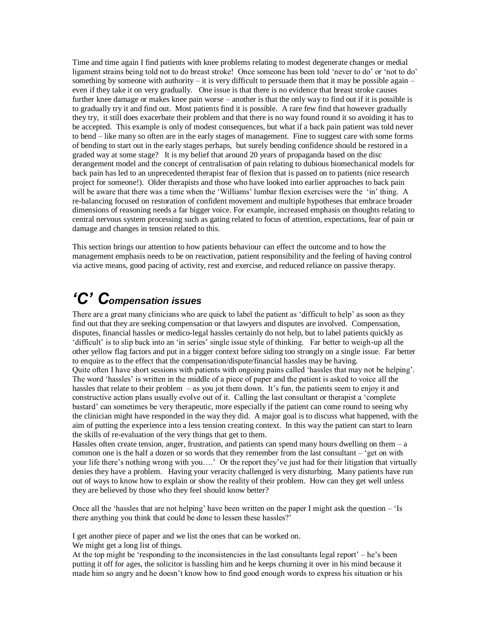Time and time again I find patients with knee problems relating to modest degenerate changes or medial ligament strains being told not to do breast stroke! Once someone has been told 'never to do' or 'not to do' something by someone with authority – it is very difficult to persuade them that it may be possible again – even if they take it on very gradually. One issue is that there is no evidence that breast stroke causes further knee damage or makes knee pain worse – another is that the only way to find out if it is possible is to gradually try it and find out. Most patients find it is possible. A rare few find that however gradually they try, it still does exacerbate their problem and that there is no way found round it so avoiding it has to be accepted. This example is only of modest consequences, but what if a back pain patient was told never to bend – like many so often are in the early stages of management. Fine to suggest care with some forms of bending to start out in the early stages perhaps, but surely bending confidence should be restored in a graded way at some stage? It is my belief that around 20 years of propaganda based on the disc derangement model and the concept of centralisation of pain relating to dubious biomechanical models for back pain has led to an unprecedented therapist fear of flexion that is passed on to patients (nice research project for someone!). Older therapists and those who have looked into earlier approaches to back pain will be aware that there was a time when the 'Williams' lumbar flexion exercises were the 'in' thing. A re-balancing focused on restoration of confident movement and multiple hypotheses that embrace broader dimensions of reasoning needs a far bigger voice. For example, increased emphasis on thoughts relating to central nervous system processing such as gating related to focus of attention, expectations, fear of pain or damage and changes in tension related to this.

This section brings our attention to how patients behaviour can effect the outcome and to how the management emphasis needs to be on reactivation, patient responsibility and the feeling of having control via active means, good pacing of activity, rest and exercise, and reduced reliance on passive therapy.

# *'C' Compensation issues*

There are a great many clinicians who are quick to label the patient as 'difficult to help' as soon as they find out that they are seeking compensation or that lawyers and disputes are involved. Compensation, disputes, financial hassles or medico-legal hassles certainly do not help, but to label patients quickly as 'difficult' is to slip back into an 'in series' single issue style of thinking. Far better to weigh-up all the other yellow flag factors and put in a bigger context before siding too strongly on a single issue. Far better to enquire as to the effect that the compensation/dispute/financial hassles may be having. Quite often I have short sessions with patients with ongoing pains called 'hassles that may not be helping'. The word 'hassles' is written in the middle of a piece of paper and the patient is asked to voice all the hassles that relate to their problem – as you jot them down. It's fun, the patients seem to enjoy it and constructive action plans usually evolve out of it. Calling the last consultant or therapist a 'complete bastard' can sometimes be very therapeutic, more especially if the patient can come round to seeing why the clinician might have responded in the way they did. A major goal is to discuss what happened, with the

aim of putting the experience into a less tension creating context. In this way the patient can start to learn the skills of re-evaluation of the very things that get to them.

Hassles often create tension, anger, frustration, and patients can spend many hours dwelling on them – a common one is the half a dozen or so words that they remember from the last consultant – 'get on with your life there's nothing wrong with you….' Or the report they've just had for their litigation that virtually denies they have a problem. Having your veracity challenged is very disturbing. Many patients have run out of ways to know how to explain or show the reality of their problem. How can they get well unless they are believed by those who they feel should know better?

Once all the 'hassles that are not helping' have been written on the paper I might ask the question – 'Is there anything you think that could be done to lessen these hassles?'

I get another piece of paper and we list the ones that can be worked on.

We might get a long list of things.

At the top might be 'responding to the inconsistencies in the last consultants legal report' – he's been putting it off for ages, the solicitor is hassling him and he keeps churning it over in his mind because it made him so angry and he doesn't know how to find good enough words to express his situation or his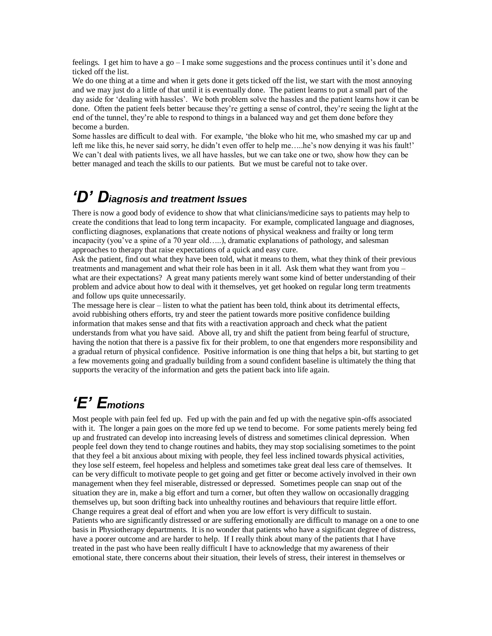feelings. I get him to have a go – I make some suggestions and the process continues until it's done and ticked off the list.

We do one thing at a time and when it gets done it gets ticked off the list, we start with the most annoying and we may just do a little of that until it is eventually done. The patient learns to put a small part of the day aside for 'dealing with hassles'. We both problem solve the hassles and the patient learns how it can be done. Often the patient feels better because they're getting a sense of control, they're seeing the light at the end of the tunnel, they're able to respond to things in a balanced way and get them done before they become a burden.

Some hassles are difficult to deal with. For example, 'the bloke who hit me, who smashed my car up and left me like this, he never said sorry, he didn't even offer to help me....be's now denying it was his fault!' We can't deal with patients lives, we all have hassles, but we can take one or two, show how they can be better managed and teach the skills to our patients. But we must be careful not to take over.

### *'D' Diagnosis and treatment Issues*

There is now a good body of evidence to show that what clinicians/medicine says to patients may help to create the conditions that lead to long term incapacity. For example, complicated language and diagnoses, conflicting diagnoses, explanations that create notions of physical weakness and frailty or long term incapacity (you've a spine of a 70 year old…..), dramatic explanations of pathology, and salesman approaches to therapy that raise expectations of a quick and easy cure.

Ask the patient, find out what they have been told, what it means to them, what they think of their previous treatments and management and what their role has been in it all. Ask them what they want from you – what are their expectations? A great many patients merely want some kind of better understanding of their problem and advice about how to deal with it themselves, yet get hooked on regular long term treatments and follow ups quite unnecessarily.

The message here is clear – listen to what the patient has been told, think about its detrimental effects, avoid rubbishing others efforts, try and steer the patient towards more positive confidence building information that makes sense and that fits with a reactivation approach and check what the patient understands from what you have said. Above all, try and shift the patient from being fearful of structure, having the notion that there is a passive fix for their problem, to one that engenders more responsibility and a gradual return of physical confidence. Positive information is one thing that helps a bit, but starting to get a few movements going and gradually building from a sound confident baseline is ultimately the thing that supports the veracity of the information and gets the patient back into life again.

# *'E' Emotions*

Most people with pain feel fed up. Fed up with the pain and fed up with the negative spin-offs associated with it. The longer a pain goes on the more fed up we tend to become. For some patients merely being fed up and frustrated can develop into increasing levels of distress and sometimes clinical depression. When people feel down they tend to change routines and habits, they may stop socialising sometimes to the point that they feel a bit anxious about mixing with people, they feel less inclined towards physical activities, they lose self esteem, feel hopeless and helpless and sometimes take great deal less care of themselves. It can be very difficult to motivate people to get going and get fitter or become actively involved in their own management when they feel miserable, distressed or depressed. Sometimes people can snap out of the situation they are in, make a big effort and turn a corner, but often they wallow on occasionally dragging themselves up, but soon drifting back into unhealthy routines and behaviours that require little effort. Change requires a great deal of effort and when you are low effort is very difficult to sustain. Patients who are significantly distressed or are suffering emotionally are difficult to manage on a one to one basis in Physiotherapy departments. It is no wonder that patients who have a significant degree of distress, have a poorer outcome and are harder to help. If I really think about many of the patients that I have treated in the past who have been really difficult I have to acknowledge that my awareness of their emotional state, there concerns about their situation, their levels of stress, their interest in themselves or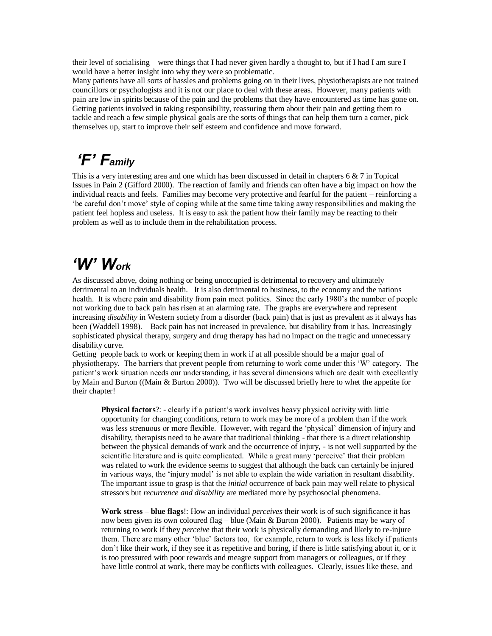their level of socialising – were things that I had never given hardly a thought to, but if I had I am sure I would have a better insight into why they were so problematic.

Many patients have all sorts of hassles and problems going on in their lives, physiotherapists are not trained councillors or psychologists and it is not our place to deal with these areas. However, many patients with pain are low in spirits because of the pain and the problems that they have encountered as time has gone on. Getting patients involved in taking responsibility, reassuring them about their pain and getting them to tackle and reach a few simple physical goals are the sorts of things that can help them turn a corner, pick themselves up, start to improve their self esteem and confidence and move forward.

# *'F' Family*

This is a very interesting area and one which has been discussed in detail in chapters  $6 \& 7$  in Topical Issues in Pain 2 (Gifford 2000). The reaction of family and friends can often have a big impact on how the individual reacts and feels. Families may become very protective and fearful for the patient – reinforcing a 'be careful don't move' style of coping while at the same time taking away responsibilities and making the patient feel hopless and useless. It is easy to ask the patient how their family may be reacting to their problem as well as to include them in the rehabilitation process.

## *'W' Work*

As discussed above, doing nothing or being unoccupied is detrimental to recovery and ultimately detrimental to an individuals health. It is also detrimental to business, to the economy and the nations health. It is where pain and disability from pain meet politics. Since the early 1980's the number of people not working due to back pain has risen at an alarming rate. The graphs are everywhere and represent increasing *disability* in Western society from a disorder (back pain) that is just as prevalent as it always has been (Waddell 1998). Back pain has not increased in prevalence, but disability from it has. Increasingly sophisticated physical therapy, surgery and drug therapy has had no impact on the tragic and unnecessary disability curve.

Getting people back to work or keeping them in work if at all possible should be a major goal of physiotherapy. The barriers that prevent people from returning to work come under this 'W' category. The patient's work situation needs our understanding, it has several dimensions which are dealt with excellently by Main and Burton ((Main & Burton 2000)). Two will be discussed briefly here to whet the appetite for their chapter!

**Physical factors**?: - clearly if a patient's work involves heavy physical activity with little opportunity for changing conditions, return to work may be more of a problem than if the work was less strenuous or more flexible. However, with regard the 'physical' dimension of injury and disability, therapists need to be aware that traditional thinking - that there is a direct relationship between the physical demands of work and the occurrence of injury, - is not well supported by the scientific literature and is quite complicated. While a great many 'perceive' that their problem was related to work the evidence seems to suggest that although the back can certainly be injured in various ways, the 'injury model' is not able to explain the wide variation in resultant disability. The important issue to grasp is that the *initial* occurrence of back pain may well relate to physical stressors but *recurrence and disability* are mediated more by psychosocial phenomena.

**Work stress – blue flags**!: How an individual *perceives* their work is of such significance it has now been given its own coloured flag – blue (Main & Burton 2000). Patients may be wary of returning to work if they *perceive* that their work is physically demanding and likely to re-injure them. There are many other 'blue' factors too, for example, return to work is less likely if patients don't like their work, if they see it as repetitive and boring, if there is little satisfying about it, or it is too pressured with poor rewards and meagre support from managers or colleagues, or if they have little control at work, there may be conflicts with colleagues. Clearly, issues like these, and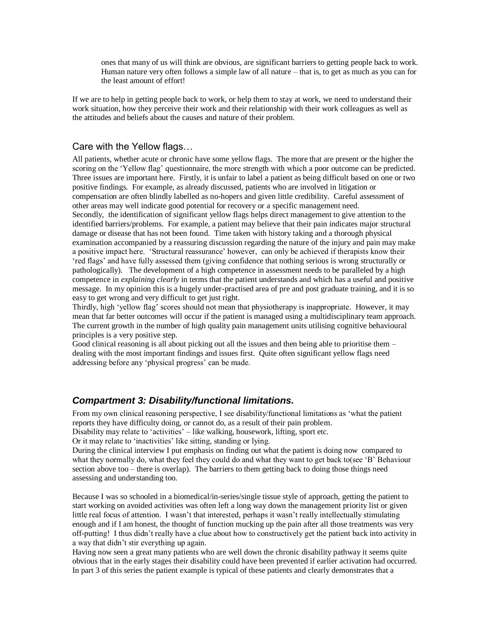ones that many of us will think are obvious, are significant barriers to getting people back to work. Human nature very often follows a simple law of all nature – that is, to get as much as you can for the least amount of effort!

If we are to help in getting people back to work, or help them to stay at work, we need to understand their work situation, how they perceive their work and their relationship with their work colleagues as well as the attitudes and beliefs about the causes and nature of their problem.

#### Care with the Yellow flags…

All patients, whether acute or chronic have some yellow flags. The more that are present or the higher the scoring on the 'Yellow flag' questionnaire, the more strength with which a poor outcome can be predicted. Three issues are important here. Firstly, it is unfair to label a patient as being difficult based on one or two positive findings. For example, as already discussed, patients who are involved in litigation or compensation are often blindly labelled as no-hopers and given little credibility. Careful assessment of other areas may well indicate good potential for recovery or a specific management need. Secondly, the identification of significant yellow flags helps direct management to give attention to the identified barriers/problems. For example, a patient may believe that their pain indicates major structural damage or disease that has not been found. Time taken with history taking and a thorough physical examination accompanied by a reassuring discussion regarding the nature of the injury and pain may make a positive impact here. 'Structural reassurance' however, can only be achieved if therapists know their 'red flags' and have fully assessed them (giving confidence that nothing serious is wrong structurally or pathologically). The development of a high competence in assessment needs to be paralleled by a high competence in *explaining clearly* in terms that the patient understands and which has a useful and positive message. In my opinion this is a hugely under-practised area of pre and post graduate training, and it is so easy to get wrong and very difficult to get just right.

Thirdly, high 'yellow flag' scores should not mean that physiotherapy is inappropriate. However, it may mean that far better outcomes will occur if the patient is managed using a multidisciplinary team approach. The current growth in the number of high quality pain management units utilising cognitive behavioural principles is a very positive step.

Good clinical reasoning is all about picking out all the issues and then being able to prioritise them – dealing with the most important findings and issues first. Quite often significant yellow flags need addressing before any 'physical progress' can be made.

#### *Compartment 3: Disability/functional limitations.*

From my own clinical reasoning perspective, I see disability/functional limitations as 'what the patient reports they have difficulty doing, or cannot do, as a result of their pain problem.

Disability may relate to 'activities' – like walking, housework, lifting, sport etc.

Or it may relate to 'inactivities' like sitting, standing or lying.

During the clinical interview I put emphasis on finding out what the patient is doing now compared to what they normally do, what they feel they could do and what they want to get back to(see 'B' Behaviour section above too – there is overlap). The barriers to them getting back to doing those things need assessing and understanding too.

Because I was so schooled in a biomedical/in-series/single tissue style of approach, getting the patient to start working on avoided activities was often left a long way down the management priority list or given little real focus of attention. I wasn't that interested, perhaps it wasn't really intellectually stimulating enough and if I am honest, the thought of function mucking up the pain after all those treatments was very off-putting! I thus didn't really have a clue about how to constructively get the patient back into activity in a way that didn't stir everything up again.

Having now seen a great many patients who are well down the chronic disability pathway it seems quite obvious that in the early stages their disability could have been prevented if earlier activation had occurred. In part 3 of this series the patient example is typical of these patients and clearly demonstrates that a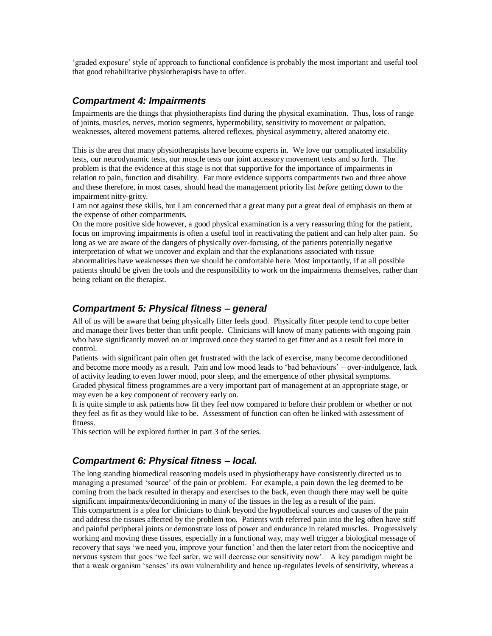'graded exposure' style of approach to functional confidence is probably the most important and useful tool that good rehabilitative physiotherapists have to offer.

### *Compartment 4: Impairments*

Impairments are the things that physiotherapists find during the physical examination. Thus, loss of range of joints, muscles, nerves, motion segments, hypermobility, sensitivity to movement or palpation, weaknesses, altered movement patterns, altered reflexes, physical asymmetry, altered anatomy etc.

This is the area that many physiotherapists have become experts in. We love our complicated instability tests, our neurodynamic tests, our muscle tests our joint accessory movement tests and so forth. The problem is that the evidence at this stage is not that supportive for the importance of impairments in relation to pain, function and disability. Far more evidence supports compartments two and three above and these therefore, in most cases, should head the management priority list *before* getting down to the impairment nitty-gritty.

I am not against these skills, but I am concerned that a great many put a great deal of emphasis on them at the expense of other compartments.

On the more positive side however, a good physical examination is a very reassuring thing for the patient, focus on improving impairments is often a useful tool in reactivating the patient and can help alter pain. So long as we are aware of the dangers of physically over-focusing, of the patients potentially negative interpretation of what we uncover and explain and that the explanations associated with tissue abnormalities have weaknesses then we should be comfortable here. Most importantly, if at all possible patients should be given the tools and the responsibility to work on the impairments themselves, rather than being reliant on the therapist.

### *Compartment 5: Physical fitness – general*

All of us will be aware that being physically fitter feels good. Physically fitter people tend to cope better and manage their lives better than unfit people. Clinicians will know of many patients with ongoing pain who have significantly moved on or improved once they started to get fitter and as a result feel more in control.

Patients with significant pain often get frustrated with the lack of exercise, many become deconditioned and become more moody as a result. Pain and low mood leads to 'bad behaviours' – over-indulgence, lack of activity leading to even lower mood, poor sleep, and the emergence of other physical symptoms. Graded physical fitness programmes are a very important part of management at an appropriate stage, or may even be a key component of recovery early on.

It is quite simple to ask patients how fit they feel now compared to before their problem or whether or not they feel as fit as they would like to be. Assessment of function can often be linked with assessment of fitness.

This section will be explored further in part 3 of the series.

#### *Compartment 6: Physical fitness – local.*

The long standing biomedical reasoning models used in physiotherapy have consistently directed us to managing a presumed 'source' of the pain or problem. For example, a pain down the leg deemed to be coming from the back resulted in therapy and exercises to the back, even though there may well be quite significant impairments/deconditioning in many of the tissues in the leg as a result of the pain.

This compartment is a plea for clinicians to think beyond the hypothetical sources and causes of the pain and address the tissues affected by the problem too. Patients with referred pain into the leg often have stiff and painful peripheral joints or demonstrate loss of power and endurance in related muscles. Progressively working and moving these tissues, especially in a functional way, may well trigger a biological message of recovery that says 'we need you, improve your function' and then the later retort from the nociceptive and nervous system that goes 'we feel safer, we will decrease our sensitivity now'. A key paradigm might be that a weak organism 'senses' its own vulnerability and hence up-regulates levels of sensitivity, whereas a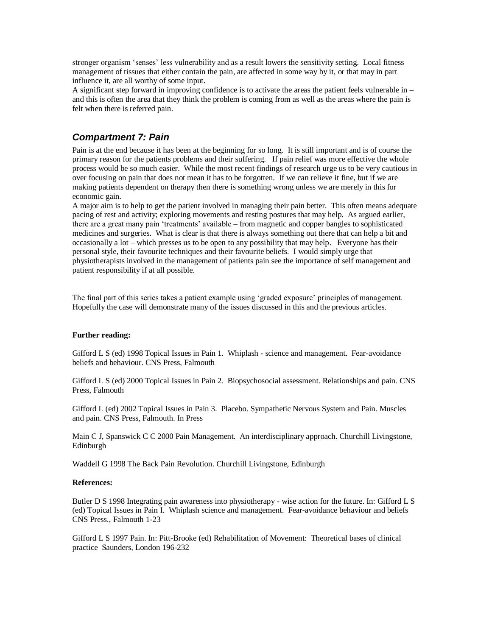stronger organism 'senses' less vulnerability and as a result lowers the sensitivity setting. Local fitness management of tissues that either contain the pain, are affected in some way by it, or that may in part influence it, are all worthy of some input.

A significant step forward in improving confidence is to activate the areas the patient feels vulnerable in – and this is often the area that they think the problem is coming from as well as the areas where the pain is felt when there is referred pain.

### *Compartment 7: Pain*

Pain is at the end because it has been at the beginning for so long. It is still important and is of course the primary reason for the patients problems and their suffering. If pain relief was more effective the whole process would be so much easier. While the most recent findings of research urge us to be very cautious in over focusing on pain that does not mean it has to be forgotten. If we can relieve it fine, but if we are making patients dependent on therapy then there is something wrong unless we are merely in this for economic gain.

A major aim is to help to get the patient involved in managing their pain better. This often means adequate pacing of rest and activity; exploring movements and resting postures that may help. As argued earlier, there are a great many pain 'treatments' available – from magnetic and copper bangles to sophisticated medicines and surgeries. What is clear is that there is always something out there that can help a bit and occasionally a lot – which presses us to be open to any possibility that may help. Everyone has their personal style, their favourite techniques and their favourite beliefs. I would simply urge that physiotherapists involved in the management of patients pain see the importance of self management and patient responsibility if at all possible.

The final part of this series takes a patient example using 'graded exposure' principles of management. Hopefully the case will demonstrate many of the issues discussed in this and the previous articles.

#### **Further reading:**

Gifford L S (ed) 1998 Topical Issues in Pain 1. Whiplash - science and management. Fear-avoidance beliefs and behaviour. CNS Press, Falmouth

Gifford L S (ed) 2000 Topical Issues in Pain 2. Biopsychosocial assessment. Relationships and pain. CNS Press, Falmouth

Gifford L (ed) 2002 Topical Issues in Pain 3. Placebo. Sympathetic Nervous System and Pain. Muscles and pain. CNS Press, Falmouth. In Press

Main C J, Spanswick C C 2000 Pain Management. An interdisciplinary approach. Churchill Livingstone, Edinburgh

Waddell G 1998 The Back Pain Revolution. Churchill Livingstone, Edinburgh

#### **References:**

Butler D S 1998 Integrating pain awareness into physiotherapy - wise action for the future. In: Gifford L S (ed) Topical Issues in Pain I. Whiplash science and management. Fear-avoidance behaviour and beliefs CNS Press., Falmouth 1-23

Gifford L S 1997 Pain. In: Pitt-Brooke (ed) Rehabilitation of Movement: Theoretical bases of clinical practice Saunders, London 196-232